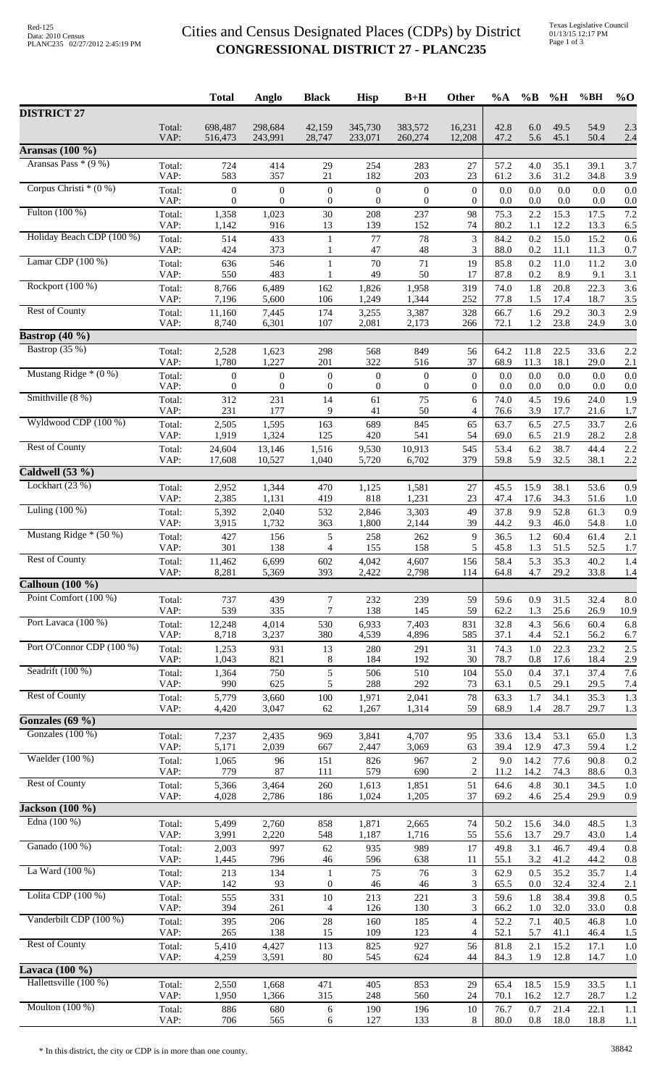## Cities and Census Designated Places (CDPs) by District **CONGRESSIONAL DISTRICT 27 - PLANC235**

|                                         |                | <b>Total</b>                         | Anglo                                | <b>Black</b>                         | <b>Hisp</b>                          | $B+H$                                | Other                            | $\%A$        | $\%B$        | %H           | %BH          | $%$ <sup>O</sup> |
|-----------------------------------------|----------------|--------------------------------------|--------------------------------------|--------------------------------------|--------------------------------------|--------------------------------------|----------------------------------|--------------|--------------|--------------|--------------|------------------|
| <b>DISTRICT 27</b>                      |                |                                      |                                      |                                      |                                      |                                      |                                  |              |              |              |              |                  |
|                                         | Total:<br>VAP: | 698,487<br>516,473                   | 298,684<br>243,991                   | 42,159<br>28,747                     | 345,730<br>233,071                   | 383,572<br>260,274                   | 16,231<br>12,208                 | 42.8<br>47.2 | 6.0<br>5.6   | 49.5<br>45.1 | 54.9<br>50.4 | 2.3<br>2.4       |
| <b>Aransas</b> (100 %)                  |                |                                      |                                      |                                      |                                      |                                      |                                  |              |              |              |              |                  |
| Aransas Pass $*(9\%)$                   | Total:<br>VAP: | 724<br>583                           | 414<br>357                           | 29<br>21                             | 254<br>182                           | 283<br>203                           | 27<br>$23\,$                     | 57.2         | 4.0          | 35.1<br>31.2 | 39.1         | 3.7              |
| Corpus Christi * (0 %)                  | Total:         | $\boldsymbol{0}$                     | $\boldsymbol{0}$                     | $\boldsymbol{0}$                     | $\mathbf{0}$                         | $\boldsymbol{0}$                     | $\theta$                         | 61.2<br>0.0  | 3.6<br>0.0   | 0.0          | 34.8<br>0.0  | 3.9<br>0.0       |
|                                         | VAP:           | $\overline{0}$                       | $\mathbf{0}$                         | $\boldsymbol{0}$                     | $\overline{0}$                       | $\boldsymbol{0}$                     | $\overline{0}$                   | 0.0          | 0.0          | 0.0          | 0.0          | 0.0              |
| Fulton (100 %)                          | Total:<br>VAP: | 1,358<br>1,142                       | 1,023<br>916                         | 30<br>13                             | 208<br>139                           | 237<br>152                           | 98<br>74                         | 75.3<br>80.2 | 2.2<br>1.1   | 15.3<br>12.2 | 17.5<br>13.3 | 7.2<br>6.5       |
| Holiday Beach CDP (100 %)               | Total:         | 514                                  | 433                                  | 1                                    | 77                                   | 78                                   | 3                                | 84.2         | 0.2          | 15.0         | 15.2         | 0.6              |
| Lamar CDP $(100\%)$                     | VAP:<br>Total: | 424<br>636                           | 373<br>546                           | 1                                    | 47<br>70                             | 48<br>$71\,$                         | 3<br>19                          | 88.0<br>85.8 | 0.2<br>0.2   | 11.1<br>11.0 | 11.3<br>11.2 | 0.7<br>3.0       |
|                                         | VAP:           | 550                                  | 483                                  | $\mathbf{1}$                         | 49                                   | 50                                   | 17                               | 87.8         | 0.2          | 8.9          | 9.1          | 3.1              |
| Rockport (100 %)                        | Total:<br>VAP: | 8,766<br>7,196                       | 6,489<br>5,600                       | 162<br>106                           | 1,826<br>1,249                       | 1,958<br>1,344                       | 319<br>252                       | 74.0<br>77.8 | 1.8<br>1.5   | 20.8<br>17.4 | 22.3<br>18.7 | 3.6<br>3.5       |
| <b>Rest of County</b>                   | Total:         | 11,160                               | 7,445                                | 174                                  | 3,255                                | 3,387                                | 328                              | 66.7         | 1.6          | 29.2         | 30.3         | 2.9              |
| Bastrop $(40\%$ )                       | VAP:           | 8,740                                | 6,301                                | 107                                  | 2,081                                | 2,173                                | 266                              | 72.1         | 1.2          | 23.8         | 24.9         | 3.0              |
| <b>Bastrop</b> (35 %)                   | Total:         | 2,528                                | 1,623                                | 298                                  | 568                                  | 849                                  | 56                               | 64.2         | 11.8         | 22.5         | 33.6         | 2.2              |
| Mustang Ridge $*(0\%)$                  | VAP:           | 1,780                                | 1,227                                | 201                                  | 322                                  | 516                                  | 37                               | 68.9         | 11.3         | 18.1         | 29.0         | 2.1              |
|                                         | Total:<br>VAP: | $\boldsymbol{0}$<br>$\boldsymbol{0}$ | $\boldsymbol{0}$<br>$\boldsymbol{0}$ | $\boldsymbol{0}$<br>$\boldsymbol{0}$ | $\boldsymbol{0}$<br>$\boldsymbol{0}$ | $\boldsymbol{0}$<br>$\boldsymbol{0}$ | $\mathbf{0}$<br>$\overline{0}$   | 0.0<br>0.0   | 0.0<br>0.0   | 0.0<br>0.0   | 0.0<br>0.0   | 0.0<br>0.0       |
| Smithville (8 %)                        | Total:         | 312                                  | 231                                  | 14                                   | 61                                   | 75                                   | 6                                | 74.0         | 4.5          | 19.6         | 24.0         | 1.9              |
| Wyldwood CDP (100 %)                    | VAP:<br>Total: | 231<br>2,505                         | 177<br>1,595                         | 9<br>163                             | 41<br>689                            | 50<br>845                            | $\overline{4}$<br>65             | 76.6<br>63.7 | 3.9<br>6.5   | 17.7<br>27.5 | 21.6<br>33.7 | 1.7<br>2.6       |
|                                         | VAP:           | 1,919                                | 1,324                                | 125                                  | 420                                  | 541                                  | 54                               | 69.0         | 6.5          | 21.9         | 28.2         | 2.8              |
| <b>Rest of County</b>                   | Total:<br>VAP: | 24,604<br>17,608                     | 13,146<br>10,527                     | 1,516<br>1,040                       | 9,530<br>5,720                       | 10,913<br>6,702                      | 545<br>379                       | 53.4<br>59.8 | 6.2<br>5.9   | 38.7<br>32.5 | 44.4<br>38.1 | 2.2<br>2.2       |
| Caldwell (53 %)                         |                |                                      |                                      |                                      |                                      |                                      |                                  |              |              |              |              |                  |
| Lockhart $(23%)$                        | Total:<br>VAP: | 2,952<br>2,385                       | 1,344<br>1,131                       | 470<br>419                           | 1,125<br>818                         | 1,581<br>1,231                       | 27<br>23                         | 45.5<br>47.4 | 15.9<br>17.6 | 38.1<br>34.3 | 53.6<br>51.6 | 0.9<br>1.0       |
| Luling $(100\%)$                        | Total:         | 5,392                                | 2,040                                | 532                                  | 2,846                                | 3,303                                | 49                               | 37.8         | 9.9          | 52.8         | 61.3         | 0.9              |
| Mustang Ridge $*(50\%)$                 | VAP:           | 3,915                                | 1,732                                | 363                                  | 1,800                                | 2,144                                | 39                               | 44.2         | 9.3          | 46.0         | 54.8         | 1.0              |
| <b>Rest of County</b>                   | Total:<br>VAP: | 427<br>301                           | 156<br>138                           | 5<br>4                               | 258<br>155                           | 262<br>158                           | 9<br>5                           | 36.5<br>45.8 | 1.2<br>1.3   | 60.4<br>51.5 | 61.4<br>52.5 | 2.1<br>1.7       |
|                                         | Total:<br>VAP: | 11,462<br>8,281                      | 6,699                                | 602<br>393                           | 4,042<br>2,422                       | 4,607<br>2,798                       | 156<br>114                       | 58.4<br>64.8 | 5.3<br>4.7   | 35.3<br>29.2 | 40.2<br>33.8 | 1.4<br>1.4       |
| Calhoun $(100\%$                        |                |                                      | 5,369                                |                                      |                                      |                                      |                                  |              |              |              |              |                  |
| Point Comfort (100 %)                   | Total:         | 737                                  | 439                                  | 7                                    | 232                                  | 239                                  | 59                               | 59.6         | 0.9          | 31.5         | 32.4         | 8.0              |
| Port Lavaca (100 %)                     | VAP:<br>Total: | 539<br>12,248                        | 335<br>4,014                         | 7<br>530                             | 138<br>6,933                         | 145<br>7,403                         | 59<br>831                        | 62.2<br>32.8 | 1.3<br>4.3   | 25.6<br>56.6 | 26.9<br>60.4 | 10.9<br>6.8      |
|                                         | VAP:           | 8,718                                | 3,237                                | 380                                  | 4,539                                | 4,896                                | 585                              | 37.1         | 4.4          | 52.1         | 56.2         | 6.7              |
| Port O'Connor CDP (100 %)               | Total:<br>VAP: | 1,253<br>1,043                       | 931<br>821                           | 13<br>8                              | 280<br>184                           | 291<br>192                           | 31<br>30                         | 74.3<br>78.7 | 1.0<br>0.8   | 22.3<br>17.6 | 23.2<br>18.4 | 2.5<br>2.9       |
| Seadrift (100 %)                        | Total:         | 1,364                                | 750                                  | 5                                    | 506                                  | 510                                  | 104                              | 55.0         | 0.4          | 37.1         | 37.4         | 7.6              |
| <b>Rest of County</b>                   | VAP:<br>Total: | 990<br>5,779                         | 625<br>3,660                         | 5<br>100                             | 288<br>1,971                         | 292<br>2,041                         | 73<br>78                         | 63.1<br>63.3 | 0.5<br>1.7   | 29.1<br>34.1 | 29.5<br>35.3 | 7.4<br>1.3       |
|                                         | VAP:           | 4,420                                | 3,047                                | 62                                   | 1,267                                | 1,314                                | 59                               | 68.9         | 1.4          | 28.7         | 29.7         | 1.3              |
| Gonzales $(69\%)$<br>Gonzales $(100\%)$ |                |                                      |                                      |                                      |                                      |                                      |                                  |              |              |              |              |                  |
|                                         | Total:<br>VAP: | 7,237<br>5,171                       | 2,435<br>2,039                       | 969<br>667                           | 3,841<br>2,447                       | 4,707<br>3,069                       | 95<br>63                         | 33.6<br>39.4 | 13.4<br>12.9 | 53.1<br>47.3 | 65.0<br>59.4 | 1.3<br>1.2       |
| Waelder (100 %)                         | Total:<br>VAP: | 1,065<br>779                         | 96<br>87                             | 151<br>111                           | 826<br>579                           | 967<br>690                           | $\sqrt{2}$<br>$\overline{c}$     | 9.0<br>11.2  | 14.2<br>14.2 | 77.6<br>74.3 | 90.8<br>88.6 | 0.2<br>0.3       |
| <b>Rest of County</b>                   | Total:         | 5,366                                | 3,464                                | 260                                  | 1,613                                | 1,851                                | 51                               | 64.6         | 4.8          | 30.1         | 34.5         | 1.0              |
| <b>Jackson</b> (100 %)                  | VAP:           | 4,028                                | 2,786                                | 186                                  | 1,024                                | 1,205                                | 37                               | 69.2         | 4.6          | 25.4         | 29.9         | 0.9              |
| Edna (100 %)                            | Total:         | 5,499                                | 2,760                                | 858                                  | 1,871                                | 2,665                                | 74                               | 50.2         | 15.6         | 34.0         | 48.5         | 1.3              |
|                                         | VAP:           | 3,991                                | 2,220                                | 548                                  | 1,187                                | 1,716                                | 55                               | 55.6         | 13.7         | 29.7         | 43.0         | 1.4              |
| Ganado (100 %)                          | Total:<br>VAP: | 2,003<br>1,445                       | 997<br>796                           | 62<br>46                             | 935<br>596                           | 989<br>638                           | 17<br>11                         | 49.8<br>55.1 | 3.1<br>3.2   | 46.7<br>41.2 | 49.4<br>44.2 | 0.8<br>0.8       |
| La Ward (100 %)                         | Total:         | 213                                  | 134                                  | 1                                    | 75                                   | 76                                   | 3                                | 62.9         | 0.5          | 35.2         | 35.7         | 1.4              |
| Lolita CDP (100 %)                      | VAP:<br>Total: | 142<br>555                           | 93<br>331                            | $\boldsymbol{0}$<br>$10\,$           | 46<br>213                            | 46<br>221                            | 3<br>3                           | 65.5<br>59.6 | 0.0<br>1.8   | 32.4<br>38.4 | 32.4<br>39.8 | 2.1<br>0.5       |
|                                         | VAP:           | 394                                  | 261                                  | $\overline{4}$                       | 126                                  | 130                                  | 3                                | 66.2         | 1.0          | 32.0         | 33.0         | 0.8              |
| Vanderbilt CDP (100 %)                  | Total:<br>VAP: | 395<br>265                           | 206<br>138                           | 28<br>15                             | 160<br>109                           | 185<br>123                           | $\overline{4}$<br>$\overline{4}$ | 52.2<br>52.1 | 7.1<br>5.7   | 40.5<br>41.1 | 46.8<br>46.4 | 1.0<br>1.5       |
| <b>Rest of County</b>                   | Total:         | 5,410                                | 4,427                                | 113                                  | 825                                  | 927                                  | 56                               | 81.8         | 2.1          | 15.2         | 17.1         | 1.0              |
| Lavaca $(100\% )$                       | VAP:           | 4,259                                | 3,591                                | 80                                   | 545                                  | 624                                  | 44                               | 84.3         | 1.9          | 12.8         | 14.7         | 1.0              |
| Hallettsville (100 %)                   | Total:         | 2,550                                | 1,668                                | 471                                  | 405                                  | 853                                  | 29                               | 65.4         | 18.5         | 15.9         | 33.5         | 1.1              |
| Moulton $(100\%)$                       | VAP:           | 1,950                                | 1,366                                | 315                                  | 248                                  | 560                                  | 24                               | 70.1         | 16.2         | 12.7         | 28.7         | 1.2              |
|                                         | Total:<br>VAP: | 886<br>706                           | 680<br>565                           | 6<br>6                               | 190<br>127                           | 196<br>133                           | 10<br>8                          | 76.7<br>80.0 | 0.7<br>0.8   | 21.4<br>18.0 | 22.1<br>18.8 | 1.1<br>1.1       |

\* In this district, the city or CDP is in more than one county. 38842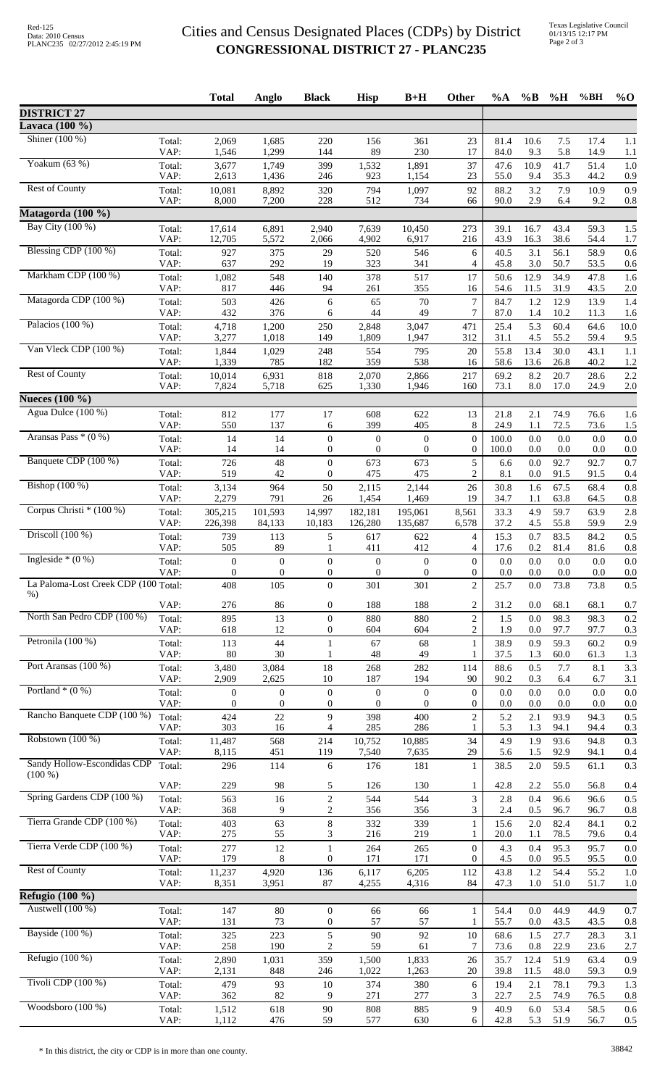## Cities and Census Designated Places (CDPs) by District **CONGRESSIONAL DISTRICT 27 - PLANC235**

|                                                   |                | <b>Total</b>                       | Anglo                          | <b>Black</b>                         | <b>Hisp</b>                        | $B+H$                                | Other                              | %A             | $\%B$          | %H              | %BH             | $%$ <sup>O</sup> |
|---------------------------------------------------|----------------|------------------------------------|--------------------------------|--------------------------------------|------------------------------------|--------------------------------------|------------------------------------|----------------|----------------|-----------------|-----------------|------------------|
| <b>DISTRICT 27</b>                                |                |                                    |                                |                                      |                                    |                                      |                                    |                |                |                 |                 |                  |
| Lavaca $(100\%$                                   |                |                                    |                                |                                      |                                    |                                      |                                    |                |                |                 |                 |                  |
| Shiner (100 %)                                    | Total:<br>VAP: | 2,069<br>1,546                     | 1,685<br>1,299                 | 220<br>144                           | 156<br>89                          | 361<br>230                           | 23<br>17                           | 81.4<br>84.0   | 10.6<br>9.3    | 7.5<br>5.8      | 17.4<br>14.9    | 1.1<br>1.1       |
| Yoakum (63 %)                                     | Total:         | 3,677                              | 1,749                          | 399                                  | 1,532                              | 1,891                                | 37                                 | 47.6           | 10.9           | 41.7            | 51.4            | 1.0              |
|                                                   | VAP:           | 2,613                              | 1,436                          | 246                                  | 923                                | 1,154                                | 23                                 | 55.0           | 9.4            | 35.3            | 44.2            | 0.9              |
| <b>Rest of County</b>                             | Total:<br>VAP: | 10,081<br>8,000                    | 8,892<br>7,200                 | 320<br>228                           | 794<br>512                         | 1,097<br>734                         | 92<br>66                           | 88.2<br>90.0   | 3.2<br>2.9     | 7.9<br>6.4      | 10.9<br>9.2     | 0.9<br>0.8       |
| Matagorda (100 %)                                 |                |                                    |                                |                                      |                                    |                                      |                                    |                |                |                 |                 |                  |
| Bay City (100 %)                                  | Total:         | 17,614                             | 6,891                          | 2,940                                | 7,639                              | 10,450                               | 273                                | 39.1           | 16.7           | 43.4            | 59.3            | 1.5              |
|                                                   | VAP:           | 12,705                             | 5,572                          | 2,066                                | 4,902                              | 6,917                                | 216                                | 43.9           | 16.3           | 38.6            | 54.4            | 1.7              |
| Blessing CDP (100 %)                              | Total:<br>VAP: | 927<br>637                         | 375<br>292                     | 29<br>19                             | 520<br>323                         | 546<br>341                           | 6<br>$\overline{4}$                | 40.5<br>45.8   | 3.1<br>3.0     | 56.1<br>50.7    | 58.9<br>53.5    | 0.6<br>0.6       |
| Markham CDP (100 %)                               | Total:         | 1,082                              | 548                            | 140                                  | 378                                | 517                                  | 17                                 | 50.6           | 12.9           | 34.9            | 47.8            | 1.6              |
| Matagorda CDP (100 %)                             | VAP:           | 817                                | 446                            | 94                                   | 261                                | 355                                  | 16                                 | 54.6           | 11.5           | 31.9            | 43.5            | 2.0              |
|                                                   | Total:<br>VAP: | 503<br>432                         | 426<br>376                     | 6<br>6                               | 65<br>44                           | 70<br>49                             | $\boldsymbol{7}$<br>7              | 84.7<br>87.0   | 1.2<br>1.4     | 12.9<br>10.2    | 13.9<br>11.3    | 1.4<br>1.6       |
| Palacios $(100\%)$                                | Total:         | 4,718                              | 1,200                          | 250                                  | 2,848                              | 3,047                                | 471                                | 25.4           | 5.3            | 60.4            | 64.6            | 10.0             |
| Van Vleck CDP (100 %)                             | VAP:<br>Total: | 3,277<br>1,844                     | 1,018<br>1,029                 | 149<br>248                           | 1,809<br>554                       | 1,947<br>795                         | 312<br>20                          | 31.1<br>55.8   | 4.5<br>13.4    | 55.2<br>30.0    | 59.4<br>43.1    | 9.5<br>1.1       |
|                                                   | VAP:           | 1,339                              | 785                            | 182                                  | 359                                | 538                                  | 16                                 | 58.6           | 13.6           | 26.8            | 40.2            | 1.2              |
| <b>Rest of County</b>                             | Total:<br>VAP: | 10,014<br>7,824                    | 6,931<br>5,718                 | 818<br>625                           | 2,070<br>1,330                     | 2,866<br>1,946                       | 217<br>160                         | 69.2<br>73.1   | 8.2<br>8.0     | 20.7<br>17.0    | 28.6<br>24.9    | 2.2<br>2.0       |
| <b>Nueces</b> (100 %)                             |                |                                    |                                |                                      |                                    |                                      |                                    |                |                |                 |                 |                  |
| Agua Dulce (100 %)                                | Total:         | 812                                | 177                            | 17                                   | 608                                | 622                                  | 13                                 | 21.8           | 2.1            | 74.9            | 76.6            | 1.6              |
|                                                   | VAP:           | 550                                | 137                            | 6                                    | 399                                | 405                                  | 8                                  | 24.9           | 1.1            | 72.5            | 73.6            | 1.5              |
| Aransas Pass $*(0\%)$                             | Total:<br>VAP: | 14<br>14                           | 14<br>14                       | $\boldsymbol{0}$<br>$\boldsymbol{0}$ | $\mathbf{0}$<br>$\boldsymbol{0}$   | $\boldsymbol{0}$<br>$\boldsymbol{0}$ | $\boldsymbol{0}$<br>0              | 100.0<br>100.0 | 0.0<br>0.0     | 0.0<br>0.0      | 0.0<br>0.0      | 0.0<br>0.0       |
| Banquete CDP (100 %)                              | Total:         | 726                                | 48                             | $\boldsymbol{0}$                     | 673                                | 673                                  | 5                                  | 6.6            | 0.0            | 92.7            | 92.7            | 0.7              |
|                                                   | VAP:           | 519                                | 42                             | $\boldsymbol{0}$                     | 475                                | 475                                  | $\overline{c}$                     | 8.1            | 0.0            | 91.5            | 91.5            | 0.4              |
| Bishop (100 %)                                    | Total:<br>VAP: | 3,134<br>2,279                     | 964<br>791                     | 50<br>26                             | 2,115<br>1,454                     | 2,144<br>1,469                       | 26<br>19                           | 30.8<br>34.7   | 1.6<br>1.1     | 67.5<br>63.8    | 68.4<br>64.5    | 0.8<br>0.8       |
| Corpus Christi * (100 %)                          | Total:         | 305,215                            | 101,593                        | 14,997                               | 182,181                            | 195,061                              | 8,561                              | 33.3           | 4.9            | 59.7            | 63.9            | 2.8              |
| Driscoll $(100\%)$<br>Ingleside $*(0\%)$          | VAP:           | 226,398                            | 84,133                         | 10,183                               | 126,280                            | 135,687                              | 6,578                              | 37.2           | 4.5            | 55.8            | 59.9            | 2.9              |
|                                                   | Total:<br>VAP: | 739<br>505                         | 113<br>89                      | 5<br>1                               | 617<br>411                         | 622<br>412                           | 4<br>4                             | 15.3<br>17.6   | 0.7<br>0.2     | 83.5<br>81.4    | 84.2<br>81.6    | 0.5<br>0.8       |
|                                                   | Total:         | $\boldsymbol{0}$                   | $\boldsymbol{0}$               | $\boldsymbol{0}$                     | $\boldsymbol{0}$                   | $\boldsymbol{0}$                     | $\overline{0}$                     | 0.0            | 0.0            | 0.0             | 0.0             | 0.0              |
| La Paloma-Lost Creek CDP (100 Total:              | VAP:           | $\boldsymbol{0}$<br>408            | $\mathbf{0}$<br>105            | $\boldsymbol{0}$<br>$\mathbf{0}$     | $\boldsymbol{0}$<br>301            | $\overline{0}$<br>301                | $\boldsymbol{0}$<br>$\overline{2}$ | 0.0<br>25.7    | 0.0<br>0.0     | $0.0\,$<br>73.8 | $0.0\,$<br>73.8 | 0.0<br>0.5       |
| $%$ )                                             |                |                                    |                                |                                      |                                    |                                      |                                    |                |                |                 |                 |                  |
| North San Pedro CDP (100 %)                       | VAP:<br>Total: | 276<br>895                         | 86<br>13                       | $\boldsymbol{0}$<br>$\overline{0}$   | 188<br>880                         | 188<br>880                           | $\overline{c}$<br>$\overline{c}$   | 31.2<br>1.5    | 0.0<br>0.0     | 68.1<br>98.3    | 68.1<br>98.3    | 0.7<br>0.2       |
|                                                   | VAP:           | 618                                | 12                             | $\boldsymbol{0}$                     | 604                                | 604                                  | $\overline{c}$                     | 1.9            | 0.0            | 97.7            | 97.7            | 0.3              |
| Petronila (100 %)                                 | Total:         | 113<br>80                          | 44<br>30                       | $\mathbf{1}$                         | 67                                 | 68<br>49                             | $\mathbf{1}$                       | 38.9           | 0.9            | 59.3<br>60.0    | 60.2            | 0.9              |
| Port Aransas (100 %)                              | VAP:<br>Total: | 3,480                              | 3,084                          | 1<br>18                              | 48<br>268                          | 282                                  | 1<br>114                           | 37.5<br>88.6   | 1.3<br>0.5     | 7.7             | 61.3<br>8.1     | 1.3<br>3.3       |
|                                                   | VAP:           | 2,909                              | 2,625                          | 10                                   | 187                                | 194                                  | 90                                 | 90.2           | 0.3            | 6.4             | 6.7             | 3.1              |
| Portland $*(0\%)$                                 | Total:<br>VAP: | $\boldsymbol{0}$<br>$\overline{0}$ | $\mathbf{0}$<br>$\overline{0}$ | $\mathbf{0}$<br>$\boldsymbol{0}$     | $\boldsymbol{0}$<br>$\overline{0}$ | $\boldsymbol{0}$<br>$\mathbf{0}$     | $\mathbf{0}$<br>$\overline{0}$     | 0.0<br>0.0     | 0.0<br>0.0     | 0.0<br>0.0      | 0.0<br>0.0      | 0.0<br>0.0       |
| Rancho Banquete CDP (100 %)                       | Total:         | 424                                | 22                             | 9                                    | 398                                | 400                                  | $\overline{c}$                     | 5.2            | 2.1            | 93.9            | 94.3            | 0.5              |
|                                                   | VAP:           | 303                                | 16                             | 4                                    | 285                                | 286                                  | 1                                  | 5.3            | 1.3            | 94.1            | 94.4            | 0.3              |
| Robstown (100 %)                                  | Total:<br>VAP: | 11,487<br>8,115                    | 568<br>451                     | 214<br>119                           | 10,752<br>7,540                    | 10,885<br>7,635                      | 34<br>29                           | 4.9<br>5.6     | 1.9<br>1.5     | 93.6<br>92.9    | 94.8<br>94.1    | 0.3<br>0.4       |
| Sandy Hollow-Escondidas CDP                       | Total:         | 296                                | 114                            | 6                                    | 176                                | 181                                  | 1                                  | 38.5           | $2.0\,$        | 59.5            | 61.1            | 0.3              |
| $(100\%)$                                         | VAP:           | 229                                | 98                             | 5                                    | 126                                | 130                                  | 1                                  | 42.8           | 2.2            | 55.0            | 56.8            | 0.4              |
| Spring Gardens CDP (100 %)                        | Total:         | 563                                | 16                             | $\overline{c}$                       | 544                                | 544                                  | 3                                  | 2.8            | 0.4            | 96.6            | 96.6            | 0.5              |
| Tierra Grande CDP (100 %)                         | VAP:<br>Total: | 368<br>403                         | 9<br>63                        | 2<br>$\,8\,$                         | 356<br>332                         | 356<br>339                           | 3<br>1                             | 2.4<br>15.6    | 0.5<br>2.0     | 96.7<br>82.4    | 96.7<br>84.1    | 0.8<br>0.2       |
|                                                   | VAP:           | 275                                | 55                             | 3                                    | 216                                | 219                                  | 1                                  | 20.0           | 1.1            | 78.5            | 79.6            | 0.4              |
| Tierra Verde CDP (100 %)<br><b>Rest of County</b> | Total:<br>VAP: | 277<br>179                         | 12<br>8                        | 1<br>$\boldsymbol{0}$                | 264<br>171                         | 265<br>171                           | 0<br>$\overline{0}$                | 4.3<br>4.5     | 0.4<br>0.0     | 95.3<br>95.5    | 95.7<br>95.5    | 0.0<br>0.0       |
|                                                   | Total:         | 11,237                             | 4,920                          | 136                                  | 6,117                              | 6,205                                | 112                                | 43.8           | 1.2            | 54.4            | 55.2            | 1.0              |
|                                                   | VAP:           | 8,351                              | 3,951                          | 87                                   | 4,255                              | 4,316                                | 84                                 | 47.3           | $1.0\,$        | 51.0            | 51.7            | 1.0              |
| <b>Refugio</b> (100 %)                            |                |                                    |                                |                                      |                                    |                                      |                                    |                |                |                 |                 |                  |
| Austwell (100 %)                                  | Total:<br>VAP: | 147<br>131                         | $80\,$<br>$73\,$               | $\boldsymbol{0}$<br>$\boldsymbol{0}$ | 66<br>57                           | 66<br>57                             | 1<br>1                             | 54.4<br>55.7   | 0.0<br>$0.0\,$ | 44.9<br>43.5    | 44.9<br>43.5    | 0.7<br>0.8       |
| Bayside (100 %)                                   | Total:         | 325                                | 223                            | 5                                    | 90                                 | 92                                   | 10                                 | 68.6           | 1.5            | 27.7            | 28.3            | 3.1              |
|                                                   | VAP:           | 258                                | 190                            | $\overline{c}$                       | 59                                 | 61                                   | 7                                  | 73.6           | 0.8            | 22.9            | 23.6            | 2.7              |
| Refugio $(100\%)$                                 | Total:<br>VAP: | 2,890<br>2,131                     | 1,031<br>848                   | 359<br>246                           | 1,500<br>1,022                     | 1,833<br>1,263                       | 26<br>20                           | 35.7<br>39.8   | 12.4<br>11.5   | 51.9<br>48.0    | 63.4<br>59.3    | 0.9<br>0.9       |
| Tivoli CDP (100 %)                                | Total:         | 479                                | 93                             | 10                                   | 374                                | 380                                  | 6                                  | 19.4           | 2.1            | 78.1            | 79.3            | 1.3              |
| Woodsboro (100 %)                                 | VAP:           | 362                                | 82                             | 9                                    | 271                                | 277                                  | 3                                  | 22.7           | 2.5            | 74.9            | 76.5            | 0.8              |
|                                                   | Total:<br>VAP: | 1,512<br>1,112                     | 618<br>476                     | $90\,$<br>59                         | 808<br>577                         | 885<br>630                           | 9<br>6                             | 40.9<br>42.8   | 6.0<br>5.3     | 53.4<br>51.9    | 58.5<br>56.7    | 0.6<br>0.5       |